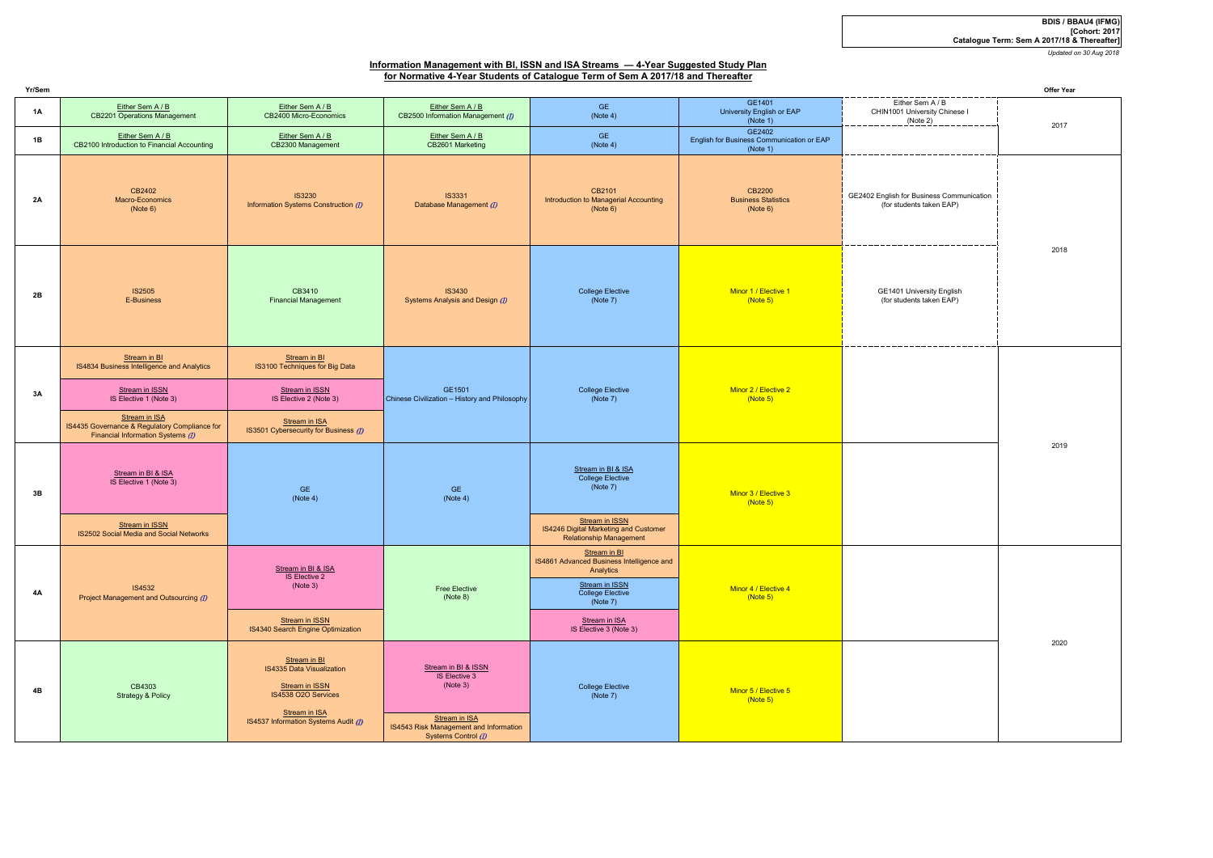*Updated on 30 Aug 2018*

| Yr/Sem |                                                                                                     |                                                                                                            |                                                                                |                                                                                                                                                                     |                                                                 | Offer Year                                                            |      |
|--------|-----------------------------------------------------------------------------------------------------|------------------------------------------------------------------------------------------------------------|--------------------------------------------------------------------------------|---------------------------------------------------------------------------------------------------------------------------------------------------------------------|-----------------------------------------------------------------|-----------------------------------------------------------------------|------|
| 1A     | Either Sem A / B<br>CB2201 Operations Management                                                    | Either Sem A / B<br>CB2400 Micro-Economics                                                                 | Either Sem A / B<br>CB2500 Information Management (1)                          | <b>GE</b><br>(Note 4)                                                                                                                                               | GE1401<br>University English or EAP<br>(Note 1)                 | Either Sem A / B<br>CHIN1001 University Chinese I<br>(Note 2)         | 2017 |
| 1B     | Either Sem A / B<br>CB2100 Introduction to Financial Accounting                                     | Either Sem A / B<br>CB2300 Management                                                                      | Either Sem A/B<br>CB2601 Marketing                                             | GE<br>(Note 4)                                                                                                                                                      | GE2402<br>English for Business Communication or EAP<br>(Note 1) |                                                                       |      |
| 2A     | CB2402<br>Macro-Economics<br>(Note 6)                                                               | <b>IS3230</b><br>Information Systems Construction (I)                                                      | <b>IS3331</b><br>Database Management (1)                                       | CB2101<br>Introduction to Managerial Accounting<br>(Note 6)                                                                                                         | CB2200<br><b>Business Statistics</b><br>(Note 6)                | GE2402 English for Business Communication<br>(for students taken EAP) |      |
| 2B     | <b>IS2505</b><br>E-Business                                                                         | CB3410<br><b>Financial Management</b>                                                                      | <b>IS3430</b><br>Systems Analysis and Design (1)                               | <b>College Elective</b><br>(Note 7)                                                                                                                                 | Minor 1 / Elective 1<br>(Note 5)                                | GE1401 University English<br>(for students taken EAP)                 | 2018 |
| 3A     | Stream in BI<br>IS4834 Business Intelligence and Analytics                                          | Stream in BI<br>IS3100 Techniques for Big Data                                                             | GE1501<br>Chinese Civilization - History and Philosophy                        | <b>College Elective</b><br>(Note 7)                                                                                                                                 | Minor 2 / Elective 2<br>(Note 5)                                |                                                                       | 2019 |
|        | Stream in ISSN<br>IS Elective 1 (Note 3)                                                            | Stream in ISSN<br>IS Elective 2 (Note 3)                                                                   |                                                                                |                                                                                                                                                                     |                                                                 |                                                                       |      |
|        | Stream in ISA<br>IS4435 Governance & Regulatory Compliance for<br>Financial Information Systems (1) | Stream in ISA<br>IS3501 Cybersecurity for Business (I)                                                     |                                                                                |                                                                                                                                                                     |                                                                 |                                                                       |      |
| 3B     | Stream in BI & ISA<br>IS Elective 1 (Note 3)                                                        | <b>GE</b><br>(Note 4)                                                                                      | GE<br>(Note 4)                                                                 | Stream in BI & ISA<br>College Elective<br>(Note 7)                                                                                                                  | Minor 3 / Elective 3<br>(Note 5)                                |                                                                       |      |
|        | <b>Stream in ISSN</b><br>IS2502 Social Media and Social Networks                                    |                                                                                                            |                                                                                | Stream in ISSN<br><b>IS4246 Digital Marketing and Customer</b><br><b>Relationship Management</b>                                                                    |                                                                 |                                                                       |      |
| 4A     | <b>IS4532</b><br>Project Management and Outsourcing (1)                                             | Stream in BI & ISA<br><b>IS Elective 2</b><br>(Note 3)<br>Stream in ISSN                                   | Free Elective<br>(Note 8)                                                      | Stream in BI<br>IS4861 Advanced Business Intelligence and<br>Analytics<br>Stream in ISSN<br>College Elective<br>(Note 7)<br>Stream in ISA<br>IS Elective 3 (Note 3) | Minor 4 / Elective 4<br>(Note 5)                                |                                                                       |      |
|        |                                                                                                     | IS4340 Search Engine Optimization                                                                          |                                                                                |                                                                                                                                                                     |                                                                 |                                                                       | 2020 |
| 4B     | CB4303<br><b>Strategy &amp; Policy</b>                                                              | Stream in BI<br><b>IS4335 Data Visualization</b><br>Stream in ISSN<br>IS4538 O2O Services<br>Stream in ISA | Stream in BI & ISSN<br>IS Elective 3<br>(Note 3)                               | College Elective<br>(Note 7)                                                                                                                                        | Minor 5 / Elective 5<br>(Note 5)                                |                                                                       |      |
|        |                                                                                                     | IS4537 Information Systems Audit (1)                                                                       | Stream in ISA<br>IS4543 Risk Management and Information<br>Systems Control (1) |                                                                                                                                                                     |                                                                 |                                                                       |      |

# **BDIS / BBAU4 (IFMG) [Cohort: 2017 Catalogue Term: Sem A 2017/18 & Thereafter]**

## **Information Management with BI, ISSN and ISA Streams — 4-Year Suggested Study Planfor Normative 4-Year Students of Catalogue Term of Sem A 2017/18 and Thereafter**